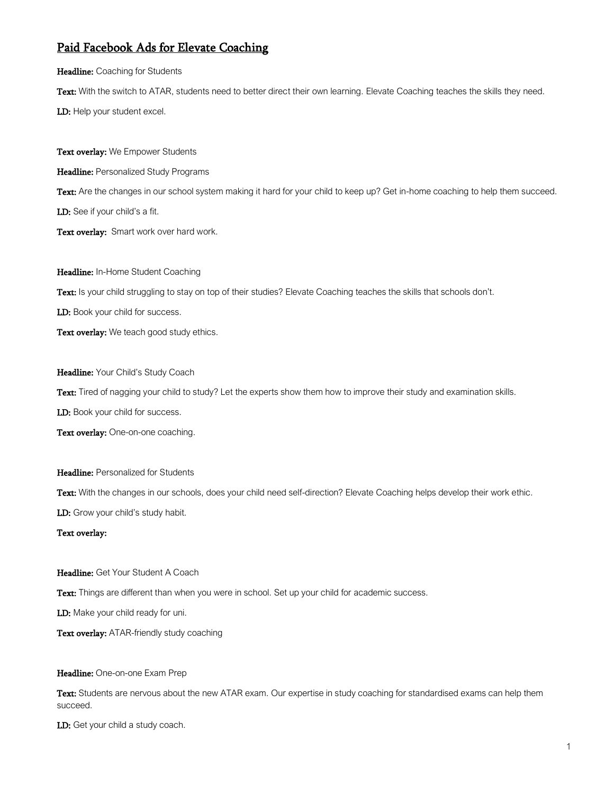## Paid Facebook Ads for Elevate Coaching

## Headline: Coaching for Students

Text: With the switch to ATAR, students need to better direct their own learning. Elevate Coaching teaches the skills they need. LD: Help your student excel.

Text overlay: We Empower Students Headline: Personalized Study Programs Text: Are the changes in our school system making it hard for your child to keep up? Get in-home coaching to help them succeed. LD: See if your child's a fit. Text overlay: Smart work over hard work.

Headline: In-Home Student Coaching

Text: Is your child struggling to stay on top of their studies? Elevate Coaching teaches the skills that schools don't.

LD: Book your child for success.

Text overlay: We teach good study ethics.

Headline: Your Child's Study Coach

Text: Tired of nagging your child to study? Let the experts show them how to improve their study and examination skills.

LD: Book your child for success.

Text overlay: One-on-one coaching.

Headline: Personalized for Students

Text: With the changes in our schools, does your child need self-direction? Elevate Coaching helps develop their work ethic.

LD: Grow your child's study habit.

## Text overlay:

Headline: Get Your Student A Coach

Text: Things are different than when you were in school. Set up your child for academic success.

LD: Make your child ready for uni.

Text overlay: ATAR-friendly study coaching

Headline: One-on-one Exam Prep

Text: Students are nervous about the new ATAR exam. Our expertise in study coaching for standardised exams can help them succeed.

LD: Get your child a study coach.